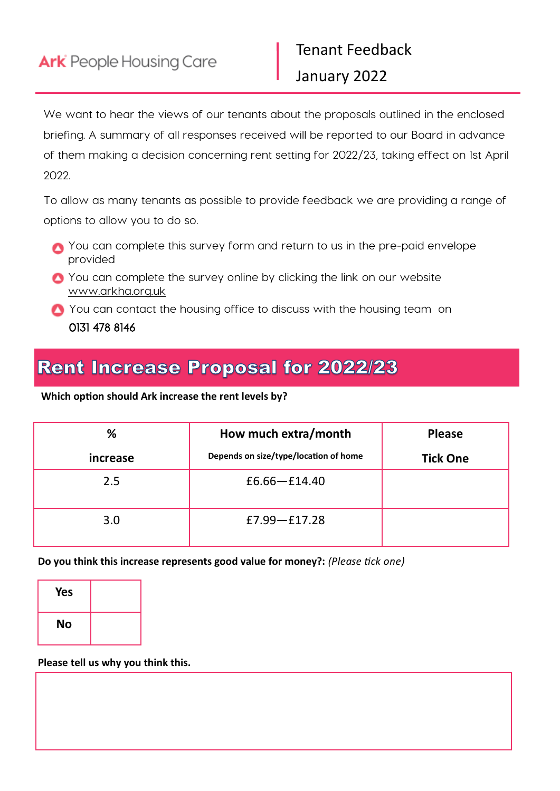We want to hear the views of our tenants about the proposals outlined in the enclosed briefing. A summary of all responses received will be reported to our Board in advance of them making a decision concerning rent setting for 2022/23, taking effect on 1st April 2022.

To allow as many tenants as possible to provide feedback we are providing a range of options to allow you to do so.

- You can complete this survey form and return to us in the pre-paid envelope provided
- You can complete the survey online by clicking the link on our website www.arkha.org.uk

You can contact the housing office to discuss with the housing team on 0131 478 8146

## **Rent Increase Proposal for 2022/23**

## **Which option should Ark increase the rent levels by?**

| %        | How much extra/month                  | <b>Please</b>   |
|----------|---------------------------------------|-----------------|
| increase | Depends on size/type/location of home | <b>Tick One</b> |
| 2.5      | $£6.66 - £14.40$                      |                 |
| 3.0      | $E7.99 - E17.28$                      |                 |

**Do you think this increase represents good value for money?:** *(Please tick one)*

| <b>Yes</b> |  |
|------------|--|
| <b>No</b>  |  |

**Please tell us why you think this.**